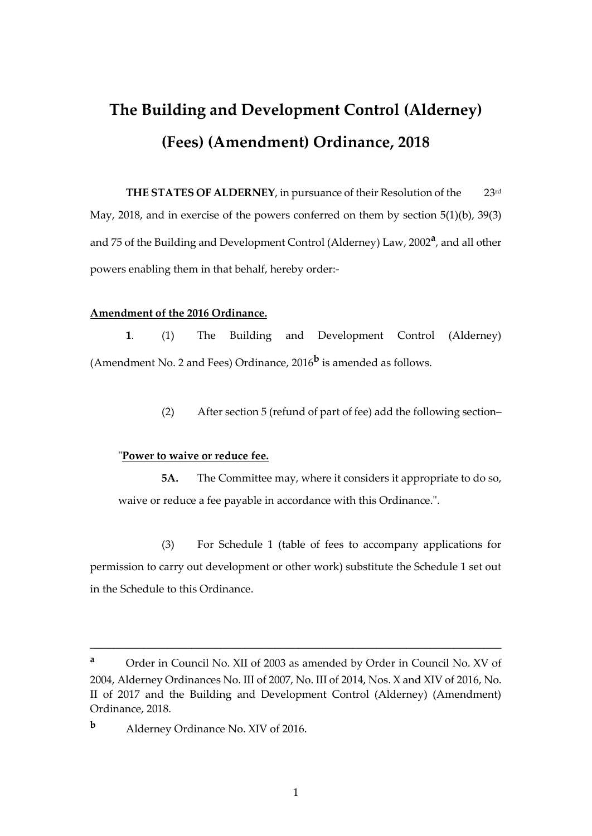# **The Building and Development Control (Alderney) (Fees) (Amendment) Ordinance, 2018**

**THE STATES OF ALDERNEY**, in pursuance of their Resolution of the 23rd May, 2018, and in exercise of the powers conferred on them by section 5(1)(b), 39(3) and 75 of the Building and Development Control (Alderney) Law, 2002**<sup>a</sup>** , and all other powers enabling them in that behalf, hereby order:-

## **Amendment of the 2016 Ordinance.**

**1**. (1) The Building and Development Control (Alderney) (Amendment No. 2 and Fees) Ordinance, 2016**<sup>b</sup>** is amended as follows.

(2) After section 5 (refund of part of fee) add the following section–

# "**Power to waive or reduce fee.**

**5A.** The Committee may, where it considers it appropriate to do so, waive or reduce a fee payable in accordance with this Ordinance.".

(3) For Schedule 1 (table of fees to accompany applications for permission to carry out development or other work) substitute the Schedule 1 set out in the Schedule to this Ordinance.

\_\_\_\_\_\_\_\_\_\_\_\_\_\_\_\_\_\_\_\_\_\_\_\_\_\_\_\_\_\_\_\_\_\_\_\_\_\_\_\_\_\_\_\_\_\_\_\_\_\_\_\_\_\_\_\_\_\_\_\_\_\_\_\_\_\_\_\_\_

**<sup>a</sup>** Order in Council No. XII of 2003 as amended by Order in Council No. XV of 2004, Alderney Ordinances No. III of 2007, No. III of 2014, Nos. X and XIV of 2016, No. II of 2017 and the Building and Development Control (Alderney) (Amendment) Ordinance, 2018.

**<sup>b</sup>** Alderney Ordinance No. XIV of 2016.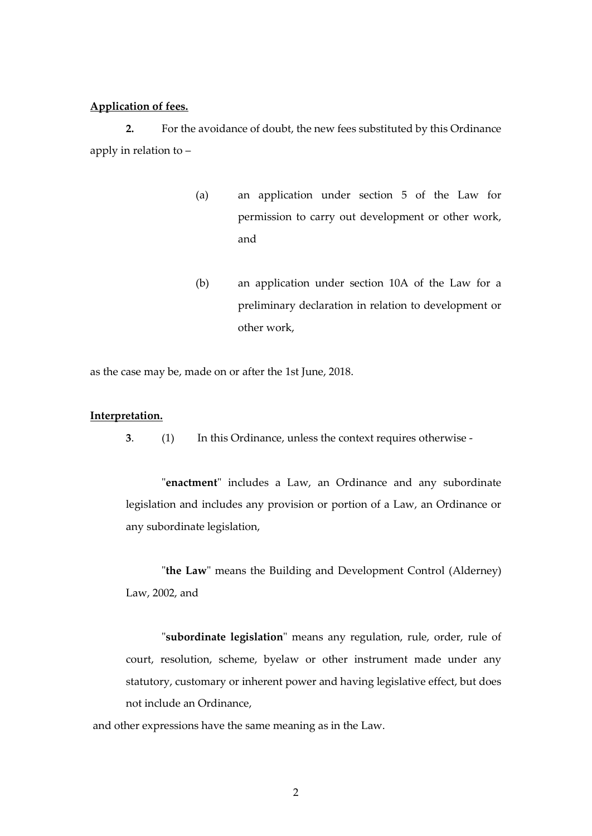#### **Application of fees.**

**2.** For the avoidance of doubt, the new fees substituted by this Ordinance apply in relation to –

- (a) an application under section 5 of the Law for permission to carry out development or other work, and
- (b) an application under section 10A of the Law for a preliminary declaration in relation to development or other work,

as the case may be, made on or after the 1st June, 2018.

#### **Interpretation.**

**3**. (1) In this Ordinance, unless the context requires otherwise -

"**enactment**" includes a Law, an Ordinance and any subordinate legislation and includes any provision or portion of a Law, an Ordinance or any subordinate legislation,

"**the Law**" means the Building and Development Control (Alderney) Law, 2002, and

"**subordinate legislation**" means any regulation, rule, order, rule of court, resolution, scheme, byelaw or other instrument made under any statutory, customary or inherent power and having legislative effect, but does not include an Ordinance,

and other expressions have the same meaning as in the Law.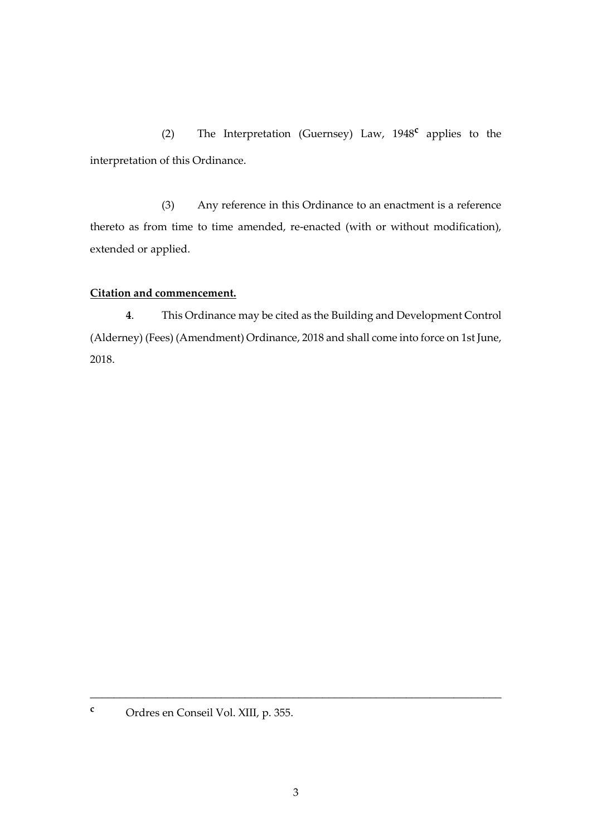(2) The Interpretation (Guernsey) Law, 1948**<sup>c</sup>** applies to the interpretation of this Ordinance.

(3) Any reference in this Ordinance to an enactment is a reference thereto as from time to time amended, re-enacted (with or without modification), extended or applied.

# **Citation and commencement.**

**4**. This Ordinance may be cited as the Building and Development Control (Alderney) (Fees) (Amendment) Ordinance, 2018 and shall come into force on 1st June, 2018.

**<sup>c</sup>** Ordres en Conseil Vol. XIII, p. 355.

\_\_\_\_\_\_\_\_\_\_\_\_\_\_\_\_\_\_\_\_\_\_\_\_\_\_\_\_\_\_\_\_\_\_\_\_\_\_\_\_\_\_\_\_\_\_\_\_\_\_\_\_\_\_\_\_\_\_\_\_\_\_\_\_\_\_\_\_\_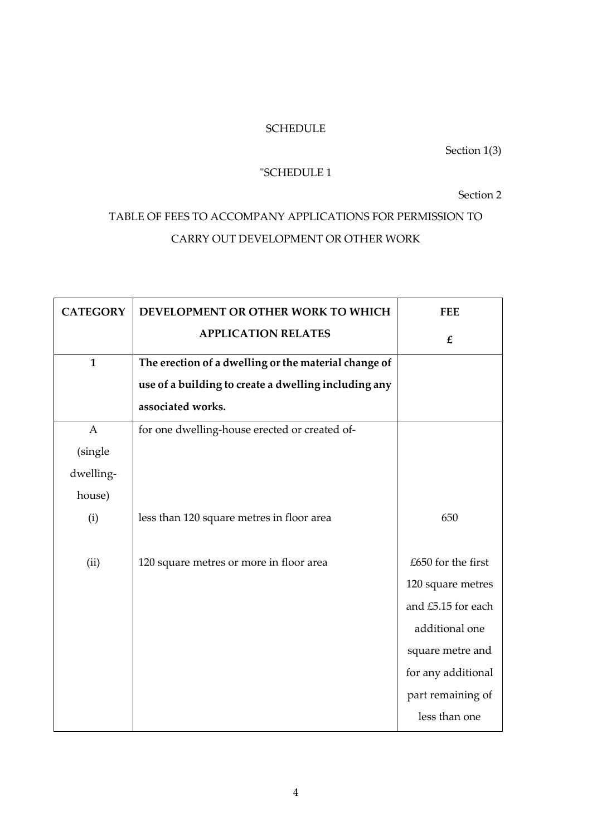# SCHEDULE

# Section 1(3)

# "SCHEDULE 1

# Section 2

# TABLE OF FEES TO ACCOMPANY APPLICATIONS FOR PERMISSION TO CARRY OUT DEVELOPMENT OR OTHER WORK

| <b>CATEGORY</b> | DEVELOPMENT OR OTHER WORK TO WHICH                   | <b>FEE</b>         |
|-----------------|------------------------------------------------------|--------------------|
|                 | <b>APPLICATION RELATES</b>                           | $\pmb{\mathit{f}}$ |
| $\mathbf{1}$    | The erection of a dwelling or the material change of |                    |
|                 | use of a building to create a dwelling including any |                    |
|                 | associated works.                                    |                    |
| $\mathbf{A}$    | for one dwelling-house erected or created of-        |                    |
| (single         |                                                      |                    |
| dwelling-       |                                                      |                    |
| house)          |                                                      |                    |
| (i)             | less than 120 square metres in floor area            | 650                |
| (ii)            | 120 square metres or more in floor area              | £650 for the first |
|                 |                                                      | 120 square metres  |
|                 |                                                      | and £5.15 for each |
|                 |                                                      | additional one     |
|                 |                                                      | square metre and   |
|                 |                                                      | for any additional |
|                 |                                                      | part remaining of  |
|                 |                                                      | less than one      |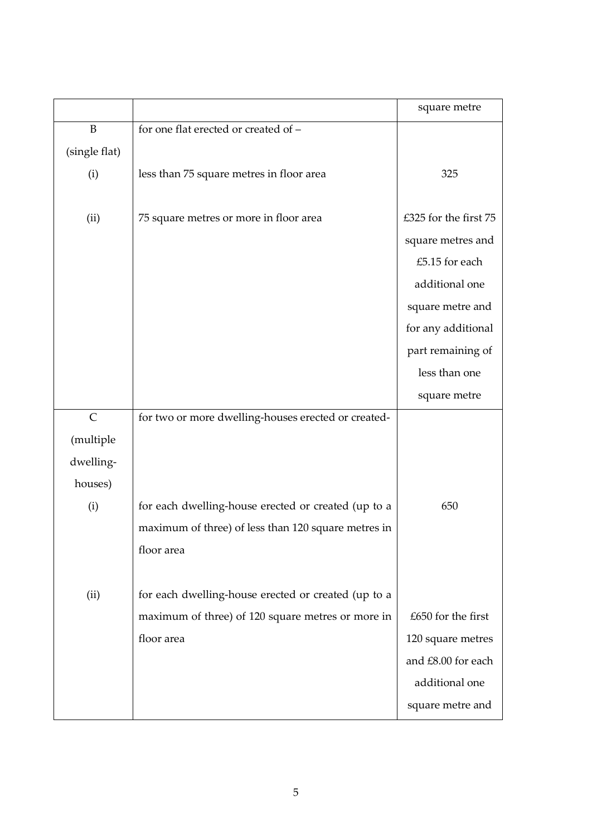|               |                                                     | square metre          |
|---------------|-----------------------------------------------------|-----------------------|
| $\, {\bf B}$  | for one flat erected or created of -                |                       |
| (single flat) |                                                     |                       |
| (i)           | less than 75 square metres in floor area            | 325                   |
|               |                                                     |                       |
| (ii)          | 75 square metres or more in floor area              | £325 for the first 75 |
|               |                                                     | square metres and     |
|               |                                                     | £5.15 for each        |
|               |                                                     | additional one        |
|               |                                                     | square metre and      |
|               |                                                     | for any additional    |
|               |                                                     | part remaining of     |
|               |                                                     | less than one         |
|               |                                                     | square metre          |
| $\mathsf{C}$  | for two or more dwelling-houses erected or created- |                       |
| (multiple     |                                                     |                       |
| dwelling-     |                                                     |                       |
| houses)       |                                                     |                       |
| (i)           | for each dwelling-house erected or created (up to a | 650                   |
|               | maximum of three) of less than 120 square metres in |                       |
|               | floor area                                          |                       |
|               |                                                     |                       |
| (ii)          | for each dwelling-house erected or created (up to a |                       |
|               | maximum of three) of 120 square metres or more in   | £650 for the first    |
|               | floor area                                          | 120 square metres     |
|               |                                                     | and £8.00 for each    |
|               |                                                     | additional one        |
|               |                                                     | square metre and      |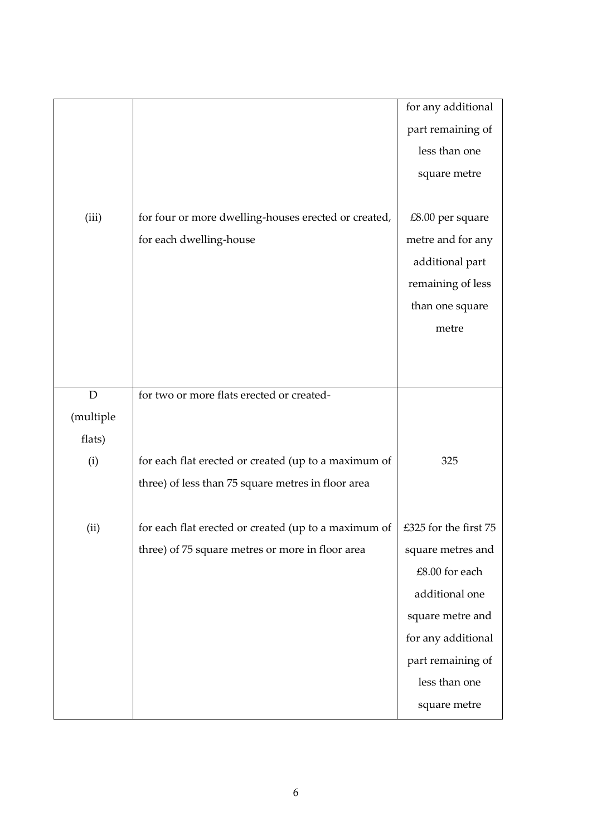|             |                                                      | for any additional    |
|-------------|------------------------------------------------------|-----------------------|
|             |                                                      | part remaining of     |
|             |                                                      | less than one         |
|             |                                                      | square metre          |
|             |                                                      |                       |
| (iii)       | for four or more dwelling-houses erected or created, | £8.00 per square      |
|             | for each dwelling-house                              | metre and for any     |
|             |                                                      | additional part       |
|             |                                                      | remaining of less     |
|             |                                                      | than one square       |
|             |                                                      | metre                 |
|             |                                                      |                       |
|             |                                                      |                       |
| $\mathbf D$ | for two or more flats erected or created-            |                       |
| (multiple   |                                                      |                       |
| flats)      |                                                      |                       |
| (i)         | for each flat erected or created (up to a maximum of | 325                   |
|             | three) of less than 75 square metres in floor area   |                       |
|             |                                                      |                       |
| (ii)        | for each flat erected or created (up to a maximum of | £325 for the first 75 |
|             | three) of 75 square metres or more in floor area     | square metres and     |
|             |                                                      | £8.00 for each        |
|             |                                                      | additional one        |
|             |                                                      | square metre and      |
|             |                                                      | for any additional    |
|             |                                                      | part remaining of     |
|             |                                                      | less than one         |
|             |                                                      | square metre          |
|             |                                                      |                       |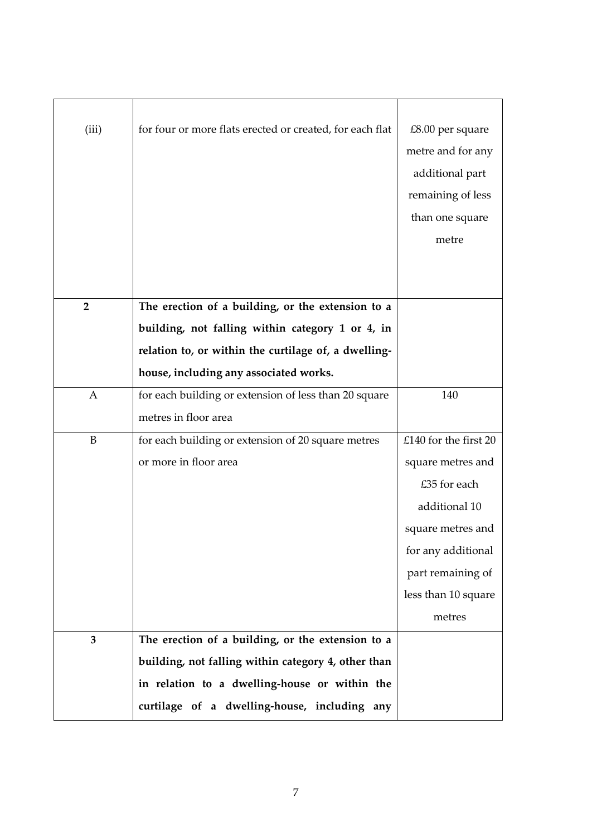| (iii)          | for four or more flats erected or created, for each flat | £8.00 per square<br>metre and for any<br>additional part<br>remaining of less<br>than one square<br>metre |
|----------------|----------------------------------------------------------|-----------------------------------------------------------------------------------------------------------|
| $\overline{2}$ | The erection of a building, or the extension to a        |                                                                                                           |
|                | building, not falling within category 1 or 4, in         |                                                                                                           |
|                | relation to, or within the curtilage of, a dwelling-     |                                                                                                           |
|                | house, including any associated works.                   |                                                                                                           |
| $\mathbf{A}$   | for each building or extension of less than 20 square    | 140                                                                                                       |
|                | metres in floor area                                     |                                                                                                           |
| B              | for each building or extension of 20 square metres       | £140 for the first 20                                                                                     |
|                | or more in floor area                                    | square metres and                                                                                         |
|                |                                                          | £35 for each                                                                                              |
|                |                                                          | additional 10                                                                                             |
|                |                                                          | square metres and                                                                                         |
|                |                                                          | for any additional                                                                                        |
|                |                                                          | part remaining of                                                                                         |
|                |                                                          | less than 10 square                                                                                       |
|                |                                                          | metres                                                                                                    |
| 3              | The erection of a building, or the extension to a        |                                                                                                           |
|                | building, not falling within category 4, other than      |                                                                                                           |
|                | in relation to a dwelling-house or within the            |                                                                                                           |
|                | curtilage of a dwelling-house, including any             |                                                                                                           |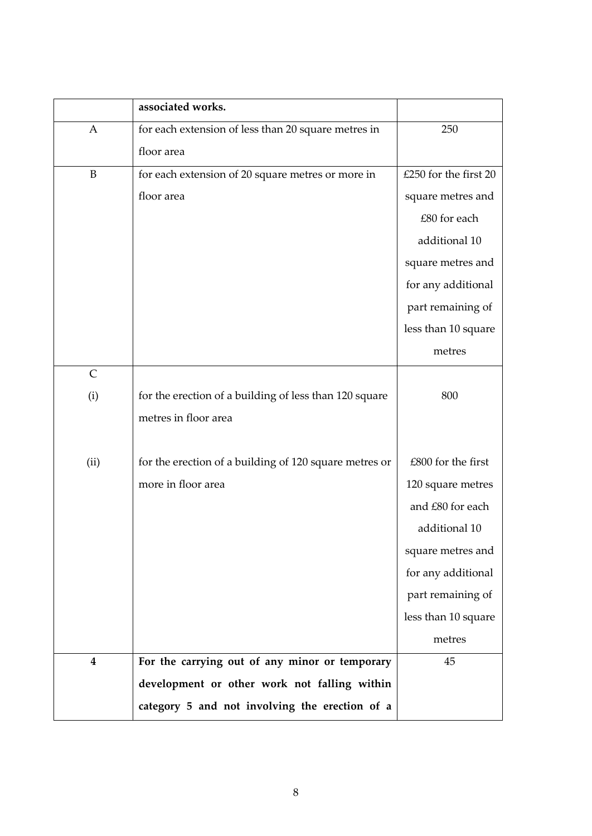|                         | associated works.                                      |                       |
|-------------------------|--------------------------------------------------------|-----------------------|
| A                       | for each extension of less than 20 square metres in    | 250                   |
|                         | floor area                                             |                       |
| $\, {\bf B}$            | for each extension of 20 square metres or more in      | £250 for the first 20 |
|                         | floor area                                             | square metres and     |
|                         |                                                        | £80 for each          |
|                         |                                                        | additional 10         |
|                         |                                                        | square metres and     |
|                         |                                                        | for any additional    |
|                         |                                                        | part remaining of     |
|                         |                                                        | less than 10 square   |
|                         |                                                        | metres                |
| $\mathsf{C}$            |                                                        |                       |
| (i)                     | for the erection of a building of less than 120 square | 800                   |
|                         | metres in floor area                                   |                       |
|                         |                                                        |                       |
| (ii)                    | for the erection of a building of 120 square metres or | £800 for the first    |
|                         | more in floor area                                     | 120 square metres     |
|                         |                                                        | and £80 for each      |
|                         |                                                        | additional 10         |
|                         |                                                        | square metres and     |
|                         |                                                        | for any additional    |
|                         |                                                        | part remaining of     |
|                         |                                                        | less than 10 square   |
|                         |                                                        | metres                |
| $\overline{\mathbf{4}}$ | For the carrying out of any minor or temporary         | 45                    |
|                         | development or other work not falling within           |                       |
|                         | category 5 and not involving the erection of a         |                       |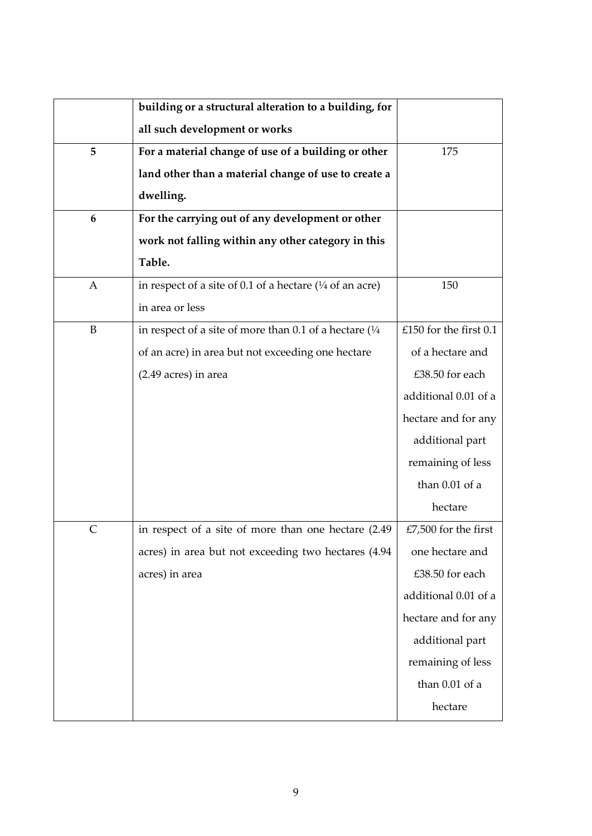|              | building or a structural alteration to a building, for           |                          |
|--------------|------------------------------------------------------------------|--------------------------|
|              | all such development or works                                    |                          |
| 5            | For a material change of use of a building or other              | 175                      |
|              | land other than a material change of use to create a             |                          |
|              | dwelling.                                                        |                          |
| 6            | For the carrying out of any development or other                 |                          |
|              | work not falling within any other category in this               |                          |
|              | Table.                                                           |                          |
| $\mathbf{A}$ | in respect of a site of 0.1 of a hectare $(1/4$ of an acre)      | 150                      |
|              | in area or less                                                  |                          |
| $\, {\bf B}$ | in respect of a site of more than 0.1 of a hectare $\frac{1}{4}$ | £150 for the first $0.1$ |
|              | of an acre) in area but not exceeding one hectare                | of a hectare and         |
|              | (2.49 acres) in area                                             | £38.50 for each          |
|              |                                                                  | additional 0.01 of a     |
|              |                                                                  | hectare and for any      |
|              |                                                                  | additional part          |
|              |                                                                  | remaining of less        |
|              |                                                                  | than $0.01$ of a         |
|              |                                                                  | hectare                  |
| $\mathsf{C}$ | in respect of a site of more than one hectare (2.49              | £7,500 for the first     |
|              | acres) in area but not exceeding two hectares (4.94              | one hectare and          |
|              | acres) in area                                                   | £38.50 for each          |
|              |                                                                  | additional 0.01 of a     |
|              |                                                                  | hectare and for any      |
|              |                                                                  | additional part          |
|              |                                                                  | remaining of less        |
|              |                                                                  | than $0.01$ of a         |
|              |                                                                  | hectare                  |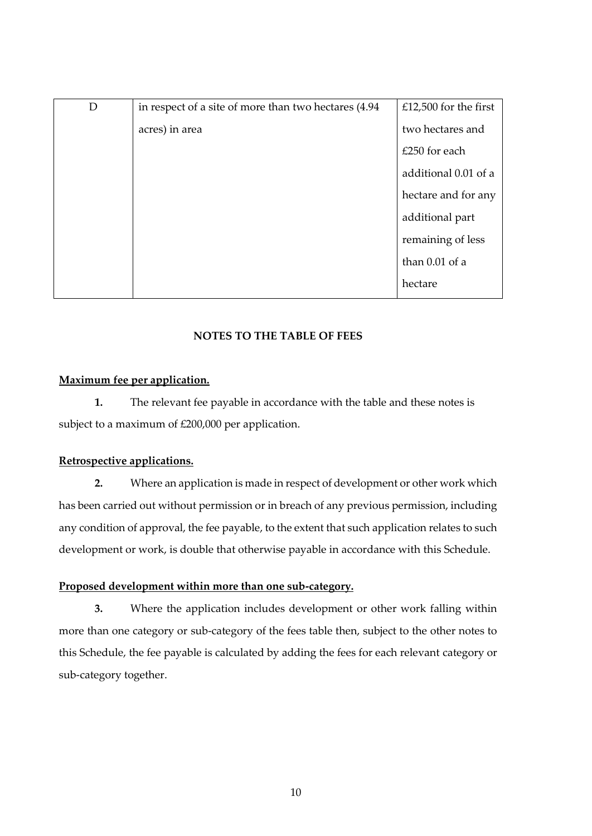| D | in respect of a site of more than two hectares (4.94) | £12,500 for the first |
|---|-------------------------------------------------------|-----------------------|
|   | acres) in area                                        | two hectares and      |
|   |                                                       | $£250$ for each       |
|   |                                                       | additional 0.01 of a  |
|   |                                                       | hectare and for any   |
|   |                                                       | additional part       |
|   |                                                       | remaining of less     |
|   |                                                       | than $0.01$ of a      |
|   |                                                       | hectare               |
|   |                                                       |                       |

# **NOTES TO THE TABLE OF FEES**

#### **Maximum fee per application.**

**1.** The relevant fee payable in accordance with the table and these notes is subject to a maximum of £200,000 per application.

#### **Retrospective applications.**

**2.** Where an application is made in respect of development or other work which has been carried out without permission or in breach of any previous permission, including any condition of approval, the fee payable, to the extent that such application relates to such development or work, is double that otherwise payable in accordance with this Schedule.

#### **Proposed development within more than one sub-category.**

**3.** Where the application includes development or other work falling within more than one category or sub-category of the fees table then, subject to the other notes to this Schedule, the fee payable is calculated by adding the fees for each relevant category or sub-category together.